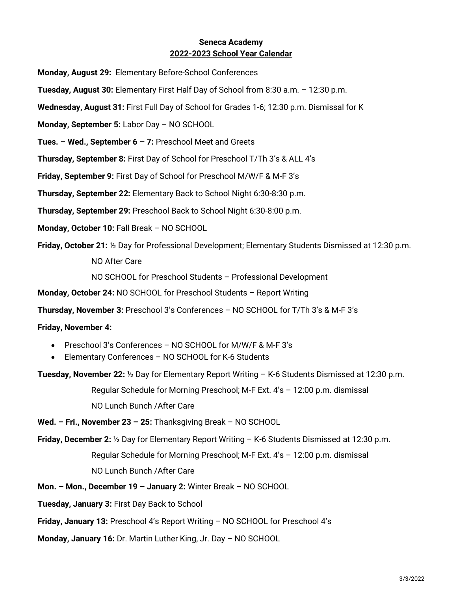## Seneca Academy 2022-2023 School Year Calendar

Monday, August 29: Elementary Before-School Conferences

Tuesday, August 30: Elementary First Half Day of School from 8:30 a.m. – 12:30 p.m.

Wednesday, August 31: First Full Day of School for Grades 1-6; 12:30 p.m. Dismissal for K

Monday, September 5: Labor Day – NO SCHOOL

**Tues. – Wed., September 6 – 7:** Preschool Meet and Greets

Thursday, September 8: First Day of School for Preschool T/Th 3's & ALL 4's

Friday, September 9: First Day of School for Preschool M/W/F & M-F 3's

Thursday, September 22: Elementary Back to School Night 6:30-8:30 p.m.

Thursday, September 29: Preschool Back to School Night 6:30-8:00 p.m.

Monday, October 10: Fall Break – NO SCHOOL

Friday, October 21: ½ Day for Professional Development; Elementary Students Dismissed at 12:30 p.m.

NO After Care

NO SCHOOL for Preschool Students – Professional Development

Monday, October 24: NO SCHOOL for Preschool Students – Report Writing

Thursday, November 3: Preschool 3's Conferences – NO SCHOOL for T/Th 3's & M-F 3's

## Friday, November 4:

- Preschool 3's Conferences NO SCHOOL for M/W/F & M-F 3's
- Elementary Conferences NO SCHOOL for K-6 Students

Tuesday, November 22: ½ Day for Elementary Report Writing – K-6 Students Dismissed at 12:30 p.m.

Regular Schedule for Morning Preschool; M-F Ext. 4's – 12:00 p.m. dismissal

NO Lunch Bunch /After Care

Wed. – Fri., November 23 – 25: Thanksgiving Break – NO SCHOOL

Friday, December 2: ½ Day for Elementary Report Writing – K-6 Students Dismissed at 12:30 p.m. Regular Schedule for Morning Preschool; M-F Ext. 4's – 12:00 p.m. dismissal NO Lunch Bunch /After Care

Mon. – Mon., December 19 – January 2: Winter Break – NO SCHOOL

Tuesday, January 3: First Day Back to School

Friday, January 13: Preschool 4's Report Writing – NO SCHOOL for Preschool 4's

Monday, January 16: Dr. Martin Luther King, Jr. Day – NO SCHOOL